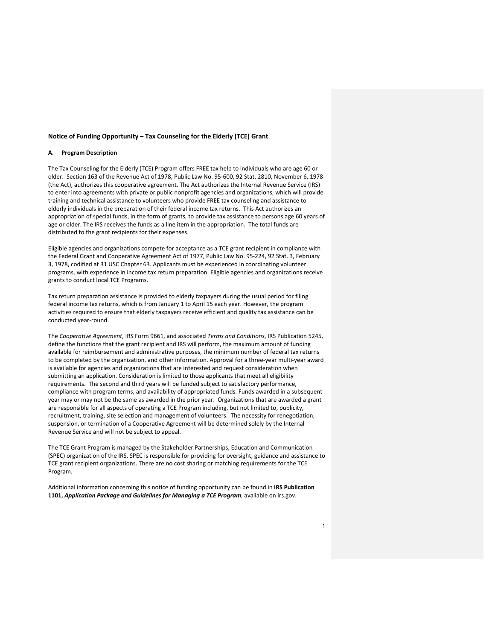### **Notice of Funding Opportunity – Tax Counseling for the Elderly (TCE) Grant**

#### **A. Program Description**

The Tax Counseling for the Elderly (TCE) Program offers FREE tax help to individuals who are age 60 or older. Section 163 of the Revenue Act of 1978, Public Law No. 95-600, 92 Stat. 2810, November 6, 1978 (the Act), authorizes this cooperative agreement. The Act authorizes the Internal Revenue Service (IRS) to enter into agreements with private or public nonprofit agencies and organizations, which will provide training and technical assistance to volunteers who provide FREE tax counseling and assistance to elderly individuals in the preparation of their federal income tax returns. This Act authorizes an appropriation of special funds, in the form of grants, to provide tax assistance to persons age 60 years of age or older. The IRS receives the funds as a line item in the appropriation. The total funds are distributed to the grant recipients for their expenses.

Eligible agencies and organizations compete for acceptance as a TCE grant recipient in compliance with the Federal Grant and Cooperative Agreement Act of 1977, Public Law No. 95-224, 92 Stat. 3, February 3, 1978, codified at 31 USC Chapter 63. Applicants must be experienced in coordinating volunteer programs, with experience in income tax return preparation. Eligible agencies and organizations receive grants to conduct local TCE Programs.

Tax return preparation assistance is provided to elderly taxpayers during the usual period for filing federal income tax returns, which is from January 1 to April 15 each year. However, the program activities required to ensure that elderly taxpayers receive efficient and quality tax assistance can be conducted year-round.

The *Cooperative Agreement*, IRS Form 9661, and associated *Terms and Conditions*, IRS Publication 5245, define the functions that the grant recipient and IRS will perform, the maximum amount of funding available for reimbursement and administrative purposes, the minimum number of federal tax returns to be completed by the organization, and other information. Approval for a three-year multi-year award is available for agencies and organizations that are interested and request consideration when submitting an application. Consideration is limited to those applicants that meet all eligibility requirements. The second and third years will be funded subject to satisfactory performance, compliance with program terms, and availability of appropriated funds. Funds awarded in a subsequent year may or may not be the same as awarded in the prior year. Organizations that are awarded a grant are responsible for all aspects of operating a TCE Program including, but not limited to, publicity, recruitment, training, site selection and management of volunteers. The necessity for renegotiation, suspension, or termination of a Cooperative Agreement will be determined solely by the Internal Revenue Service and will not be subject to appeal.

The TCE Grant Program is managed by the Stakeholder Partnerships, Education and Communication (SPEC) organization of the IRS. SPEC is responsible for providing for oversight, guidance and assistance to TCE grant recipient organizations. There are no cost sharing or matching requirements for the TCE Program.

Additional information concerning this notice of funding opportunity can be found in **IRS Publication 1101,** *Application Package and Guidelines for Managing a TCE Program*, available on irs.gov.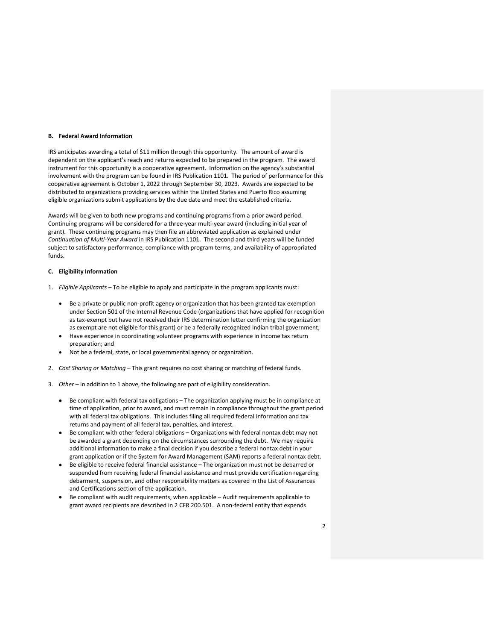#### **B. Federal Award Information**

IRS anticipates awarding a total of \$11 million through this opportunity. The amount of award is dependent on the applicant's reach and returns expected to be prepared in the program. The award instrument for this opportunity is a cooperative agreement. Information on the agency's substantial involvement with the program can be found in IRS Publication 1101. The period of performance for this cooperative agreement is October 1, 2022 through September 30, 2023. Awards are expected to be distributed to organizations providing services within the United States and Puerto Rico assuming eligible organizations submit applications by the due date and meet the established criteria.

Awards will be given to both new programs and continuing programs from a prior award period. Continuing programs will be considered for a three-year multi-year award (including initial year of grant). These continuing programs may then file an abbreviated application as explained under *Continuation of Multi-Year Award* in IRS Publication 1101. The second and third years will be funded subject to satisfactory performance, compliance with program terms, and availability of appropriated funds.

### **C. Eligibility Information**

- 1. *Eligible Applicants –* To be eligible to apply and participate in the program applicants must:
	- Be a private or public non-profit agency or organization that has been granted tax exemption under Section 501 of the Internal Revenue Code (organizations that have applied for recognition as tax-exempt but have not received their IRS determination letter confirming the organization as exempt are not eligible for this grant) or be a federally recognized Indian tribal government;
	- Have experience in coordinating volunteer programs with experience in income tax return preparation; and
	- Not be a federal, state, or local governmental agency or organization.
- 2. *Cost Sharing or Matching –* This grant requires no cost sharing or matching of federal funds.
- 3. *Other –* In addition to 1 above, the following are part of eligibility consideration.
	- Be compliant with federal tax obligations The organization applying must be in compliance at time of application, prior to award, and must remain in compliance throughout the grant period with all federal tax obligations. This includes filing all required federal information and tax returns and payment of all federal tax, penalties, and interest.
	- Be compliant with other federal obligations Organizations with federal nontax debt may not be awarded a grant depending on the circumstances surrounding the debt. We may require additional information to make a final decision if you describe a federal nontax debt in your grant application or if the System for Award Management (SAM) reports a federal nontax debt.
	- Be eligible to receive federal financial assistance The organization must not be debarred or suspended from receiving federal financial assistance and must provide certification regarding debarment, suspension, and other responsibility matters as covered in the List of Assurances and Certifications section of the application.
	- Be compliant with audit requirements, when applicable Audit requirements applicable to grant award recipients are described in 2 CFR 200.501. A non-federal entity that expends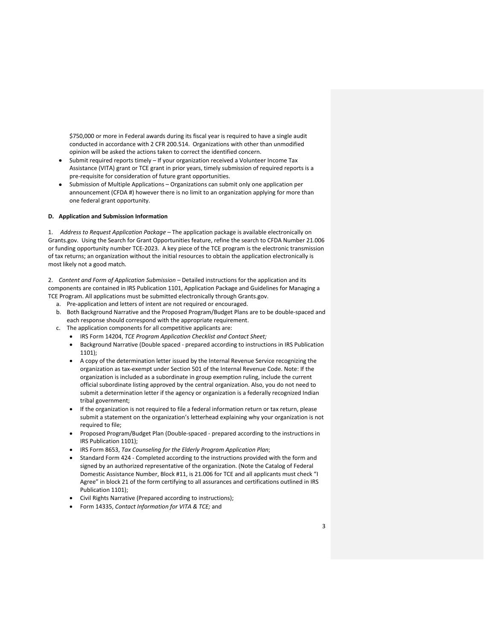\$750,000 or more in Federal awards during its fiscal year is required to have a single audit conducted in accordance with 2 CFR 200.514. Organizations with other than unmodified opinion will be asked the actions taken to correct the identified concern.

- Submit required reports timely If your organization received a Volunteer Income Tax Assistance (VITA) grant or TCE grant in prior years, timely submission of required reports is a pre-requisite for consideration of future grant opportunities.
- Submission of Multiple Applications Organizations can submit only one application per announcement (CFDA #) however there is no limit to an organization applying for more than one federal grant opportunity.

#### **D. Application and Submission Information**

1. *Address to Request Application Package –* The application package is available electronically on Grants.gov. Using the Search for Grant Opportunities feature, refine the search to CFDA Number 21.006 or funding opportunity number TCE-2023. A key piece of the TCE program is the electronic transmission of tax returns; an organization without the initial resources to obtain the application electronically is most likely not a good match.

2. *Content and Form of Application Submission –* Detailed instructions for the application and its components are contained in IRS Publication 1101, Application Package and Guidelines for Managing a TCE Program. All applications must be submitted electronically through Grants.gov.

- a. Pre-application and letters of intent are not required or encouraged.
- b. Both Background Narrative and the Proposed Program/Budget Plans are to be double-spaced and each response should correspond with the appropriate requirement.
- c. The application components for all competitive applicants are:
	- IRS Form 14204, *TCE Program Application Checklist and Contact Sheet;*
	- Background Narrative (Double spaced prepared according to instructions in IRS Publication 1101);
	- A copy of the determination letter issued by the Internal Revenue Service recognizing the organization as tax-exempt under Section 501 of the Internal Revenue Code. Note: If the organization is included as a subordinate in group exemption ruling, include the current official subordinate listing approved by the central organization. Also, you do not need to submit a determination letter if the agency or organization is a federally recognized Indian tribal government;
	- If the organization is not required to file a federal information return or tax return, please submit a statement on the organization's letterhead explaining why your organization is not required to file;
	- Proposed Program/Budget Plan (Double-spaced prepared according to the instructions in IRS Publication 1101);
	- IRS Form 8653, *Tax Counseling for the Elderly Program Application Plan*;
	- Standard Form 424 Completed according to the instructions provided with the form and signed by an authorized representative of the organization. (Note the Catalog of Federal Domestic Assistance Number, Block #11, is 21.006 for TCE and all applicants must check "I Agree" in block 21 of the form certifying to all assurances and certifications outlined in IRS Publication 1101);
	- Civil Rights Narrative (Prepared according to instructions);
	- Form 14335, *Contact Information for VITA & TCE;* and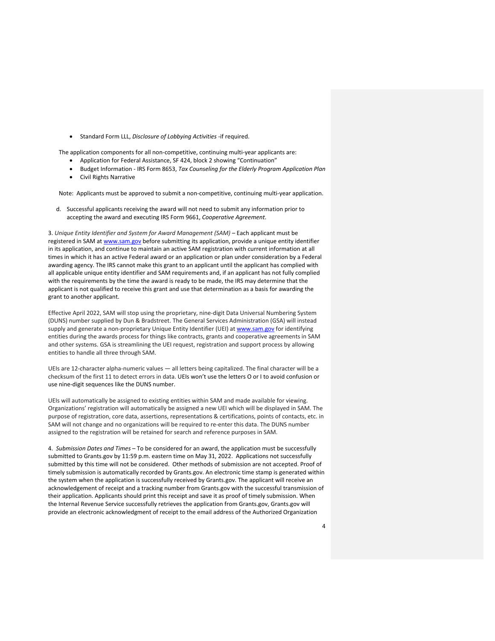• Standard Form LLL, *Disclosure of Lobbying Activities* -if required.

The application components for all non-competitive, continuing multi-year applicants are:

- Application for Federal Assistance, SF 424, block 2 showing "Continuation"
- Budget Information IRS Form 8653, *Tax Counseling for the Elderly Program Application Plan*
- Civil Rights Narrative

Note: Applicants must be approved to submit a non-competitive, continuing multi-year application.

d. Successful applicants receiving the award will not need to submit any information prior to accepting the award and executing IRS Form 9661, *Cooperative Agreement*.

3. *Unique Entity Identifier and System for Award Management (SAM) –* Each applicant must be registered in SAM at www.sam.gov before submitting its application, provide a unique entity identifier in its application, and continue to maintain an active SAM registration with current information at all times in which it has an active Federal award or an application or plan under consideration by a Federal awarding agency. The IRS cannot make this grant to an applicant until the applicant has complied with all applicable unique entity identifier and SAM requirements and, if an applicant has not fully complied with the requirements by the time the award is ready to be made, the IRS may determine that the applicant is not qualified to receive this grant and use that determination as a basis for awarding the grant to another applicant.

Effective April 2022, SAM will stop using the proprietary, nine-digit Data Universal Numbering System (DUNS) number supplied by Dun & Bradstreet. The General Services Administration (GSA) will instead supply and generate a non-proprietary Unique Entity Identifier (UEI) at www.sam.gov for identifying entities during the awards process for things like contracts, grants and cooperative agreements in SAM and other systems. GSA is streamlining the UEI request, registration and support process by allowing entities to handle all three through SAM.

UEIs are 12-character alpha-numeric values — all letters being capitalized. The final character will be a checksum of the first 11 to detect errors in data. UEIs won't use the letters O or I to avoid confusion or use nine-digit sequences like the DUNS number.

UEIs will automatically be assigned to existing entities within SAM and made available for viewing. Organizations' registration will automatically be assigned a new UEI which will be displayed in SAM. The purpose of registration, core data, assertions, representations & certifications, points of contacts, etc. in SAM will not change and no organizations will be required to re-enter this data. The DUNS number assigned to the registration will be retained for search and reference purposes in SAM.

4. *Submission Dates and Times* – To be considered for an award, the application must be successfully submitted to Grants.gov by 11:59 p.m. eastern time on May 31, 2022. Applications not successfully submitted by this time will not be considered. Other methods of submission are not accepted. Proof of timely submission is automatically recorded by Grants.gov. An electronic time stamp is generated within the system when the application is successfully received by Grants.gov. The applicant will receive an acknowledgement of receipt and a tracking number from Grants.gov with the successful transmission of their application. Applicants should print this receipt and save it as proof of timely submission. When the Internal Revenue Service successfully retrieves the application from Grants.gov, Grants.gov will provide an electronic acknowledgment of receipt to the email address of the Authorized Organization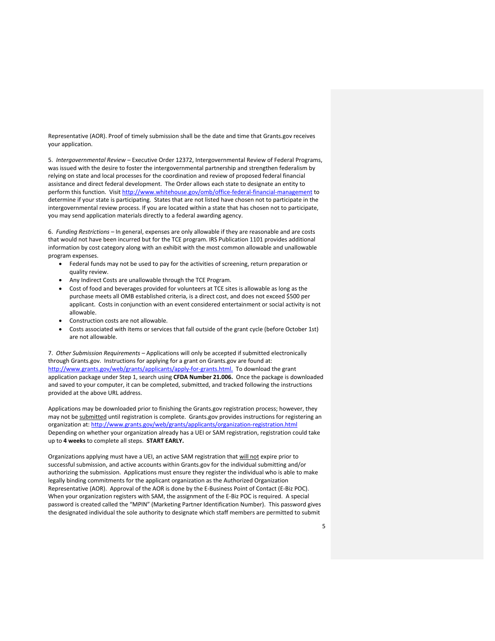Representative (AOR). Proof of timely submission shall be the date and time that Grants.gov receives your application.

5. *Intergovernmental Review –* Executive Order 12372, Intergovernmental Review of Federal Programs, was issued with the desire to foster the intergovernmental partnership and strengthen federalism by relying on state and local processes for the coordination and review of proposed federal financial assistance and direct federal development. The Order allows each state to designate an entity to perform this function. Visit http://www.whitehouse.gov/omb/office-federal-financial-management to determine if your state is participating. States that are not listed have chosen not to participate in the intergovernmental review process. If you are located within a state that has chosen not to participate, you may send application materials directly to a federal awarding agency.

6. *Funding Restrictions –* In general, expenses are only allowable if they are reasonable and are costs that would not have been incurred but for the TCE program. IRS Publication 1101 provides additional information by cost category along with an exhibit with the most common allowable and unallowable program expenses.

- Federal funds may not be used to pay for the activities of screening, return preparation or quality review.
- Any Indirect Costs are unallowable through the TCE Program.
- Cost of food and beverages provided for volunteers at TCE sites is allowable as long as the purchase meets all OMB established criteria, is a direct cost, and does not exceed \$500 per applicant. Costs in conjunction with an event considered entertainment or social activity is not allowable.
- Construction costs are not allowable.
- Costs associated with items or services that fall outside of the grant cycle (before October 1st) are not allowable.

7. *Other Submission Requirements –* Applications will only be accepted if submitted electronically through Grants.gov. Instructions for applying for a grant on Grants.gov are found at: http://www.grants.gov/web/grants/applicants/apply-for-grants.html. To download the grant application package under Step 1, search using **CFDA Number 21.006.** Once the package is downloaded and saved to your computer, it can be completed, submitted, and tracked following the instructions provided at the above URL address.

Applications may be downloaded prior to finishing the Grants.gov registration process; however, they may not be submitted until registration is complete. Grants.gov provides instructions for registering an organization at: http://www.grants.gov/web/grants/applicants/organization-registration.html Depending on whether your organization already has a UEI or SAM registration, registration could take up to **4 weeks** to complete all steps. **START EARLY.**

Organizations applying must have a UEI, an active SAM registration that will not expire prior to successful submission, and active accounts within Grants.gov for the individual submitting and/or authorizing the submission. Applications must ensure they register the individual who is able to make legally binding commitments for the applicant organization as the Authorized Organization Representative (AOR). Approval of the AOR is done by the E-Business Point of Contact (E-Biz POC). When your organization registers with SAM, the assignment of the E-Biz POC is required. A special password is created called the "MPIN" (Marketing Partner Identification Number). This password gives the designated individual the sole authority to designate which staff members are permitted to submit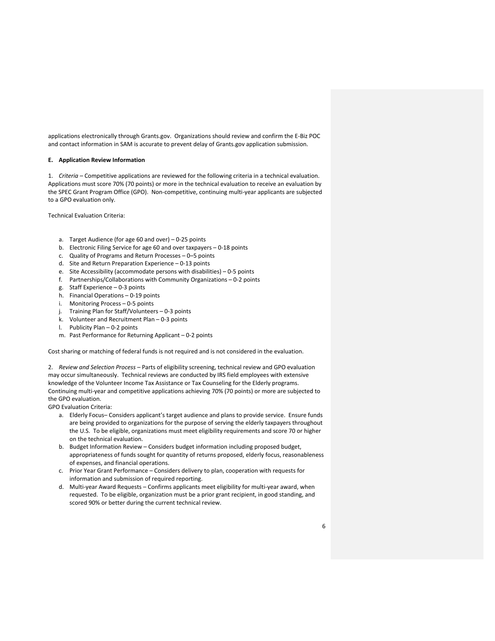applications electronically through Grants.gov. Organizations should review and confirm the E-Biz POC and contact information in SAM is accurate to prevent delay of Grants.gov application submission.

## **E. Application Review Information**

1. *Criteria –* Competitive applications are reviewed for the following criteria in a technical evaluation. Applications must score 70% (70 points) or more in the technical evaluation to receive an evaluation by the SPEC Grant Program Office (GPO). Non-competitive, continuing multi-year applicants are subjected to a GPO evaluation only.

Technical Evaluation Criteria:

- a. Target Audience (for age 60 and over) 0-25 points
- b. Electronic Filing Service for age 60 and over taxpayers 0-18 points
- c. Quality of Programs and Return Processes 0–5 points
- d. Site and Return Preparation Experience 0-13 points
- e. Site Accessibility (accommodate persons with disabilities) 0-5 points
- f. Partnerships/Collaborations with Community Organizations 0-2 points
- g. Staff Experience 0-3 points
- h. Financial Operations 0-19 points
- i. Monitoring Process 0-5 points
- j. Training Plan for Staff/Volunteers 0-3 points
- k. Volunteer and Recruitment Plan 0-3 points
- l. Publicity Plan 0-2 points
- m. Past Performance for Returning Applicant 0-2 points

Cost sharing or matching of federal funds is not required and is not considered in the evaluation.

2. *Review and Selection Process* – Parts of eligibility screening, technical review and GPO evaluation may occur simultaneously. Technical reviews are conducted by IRS field employees with extensive knowledge of the Volunteer Income Tax Assistance or Tax Counseling for the Elderly programs. Continuing multi-year and competitive applications achieving 70% (70 points) or more are subjected to the GPO evaluation.

GPO Evaluation Criteria:

- a. Elderly Focus– Considers applicant's target audience and plans to provide service. Ensure funds are being provided to organizations for the purpose of serving the elderly taxpayers throughout the U.S. To be eligible, organizations must meet eligibility requirements and score 70 or higher on the technical evaluation.
- b. Budget Information Review Considers budget information including proposed budget, appropriateness of funds sought for quantity of returns proposed, elderly focus, reasonableness of expenses, and financial operations.
- c. Prior Year Grant Performance Considers delivery to plan, cooperation with requests for information and submission of required reporting.
- d. Multi-year Award Requests Confirms applicants meet eligibility for multi-year award, when requested. To be eligible, organization must be a prior grant recipient, in good standing, and scored 90% or better during the current technical review.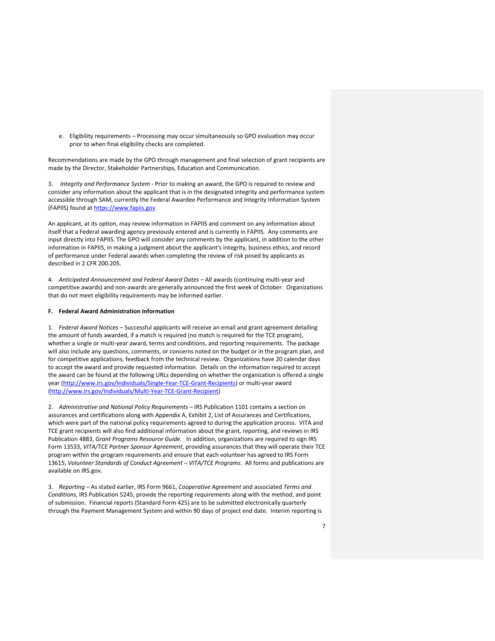e. Eligibility requirements – Processing may occur simultaneously so GPO evaluation may occur prior to when final eligibility checks are completed.

Recommendations are made by the GPO through management and final selection of grant recipients are made by the Director, Stakeholder Partnerships, Education and Communication.

3. *Integrity and Performance System* - Prior to making an award, the GPO is required to review and consider any information about the applicant that is in the designated integrity and performance system accessible through SAM, currently the Federal Awardee Performance and Integrity Information System (FAPIIS) found at https://www.fapiis.gov.

An applicant, at its option, may review information in FAPIIS and comment on any information about itself that a Federal awarding agency previously entered and is currently in FAPIIS. Any comments are input directly into FAPIIS. The GPO will consider any comments by the applicant, in addition to the other information in FAPIIS, in making a judgment about the applicant's integrity, business ethics, and record of performance under Federal awards when completing the review of risk posed by applicants as described in 2 CFR 200.205.

4. *Anticipated Announcement and Federal Award Dates –* All awards (continuing multi-year and competitive awards) and non-awards are generally announced the first week of October. Organizations that do not meet eligibility requirements may be informed earlier.

# **F. Federal Award Administration Information**

1. *Federal Award Notices* – Successful applicants will receive an email and grant agreement detailing the amount of funds awarded, if a match is required (no match is required for the TCE program), whether a single or multi-year award, terms and conditions, and reporting requirements. The package will also include any questions, comments, or concerns noted on the budget or in the program plan, and for competitive applications, feedback from the technical review. Organizations have 20 calendar days to accept the award and provide requested information. Details on the information required to accept the award can be found at the following URLs depending on whether the organization is offered a single year (http://www.irs.gov/Individuals/Single-Year-TCE-Grant-Recipients) or multi-year award (http://www.irs.gov/Individuals/Multi-Year-TCE-Grant-Recipient)

2. *Administrative and National Policy Requirements –* IRS Publication 1101 contains a section on assurances and certifications along with Appendix A, Exhibit 2, List of Assurances and Certifications, which were part of the national policy requirements agreed to during the application process. VITA and TCE grant recipients will also find additional information about the grant, reporting, and reviews in IRS Publication 4883, *Grant Programs Resource Guide.* In addition, organizations are required to sign IRS Form 13533, *VITA/TCE Partner Sponsor Agreement*, providing assurances that they will operate their TCE program within the program requirements and ensure that each volunteer has agreed to IRS Form 13615, *Volunteer Standards of Conduct Agreement – VITA/TCE Programs*. All forms and publications are available on IRS.gov.

3. *Reporting –* As stated earlier, IRS Form 9661, *Cooperative Agreement* and associated *Terms and Conditions*, IRS Publication 5245, provide the reporting requirements along with the method, and point of submission. Financial reports (Standard Form 425) are to be submitted electronically quarterly through the Payment Management System and within 90 days of project end date. Interim reporting is